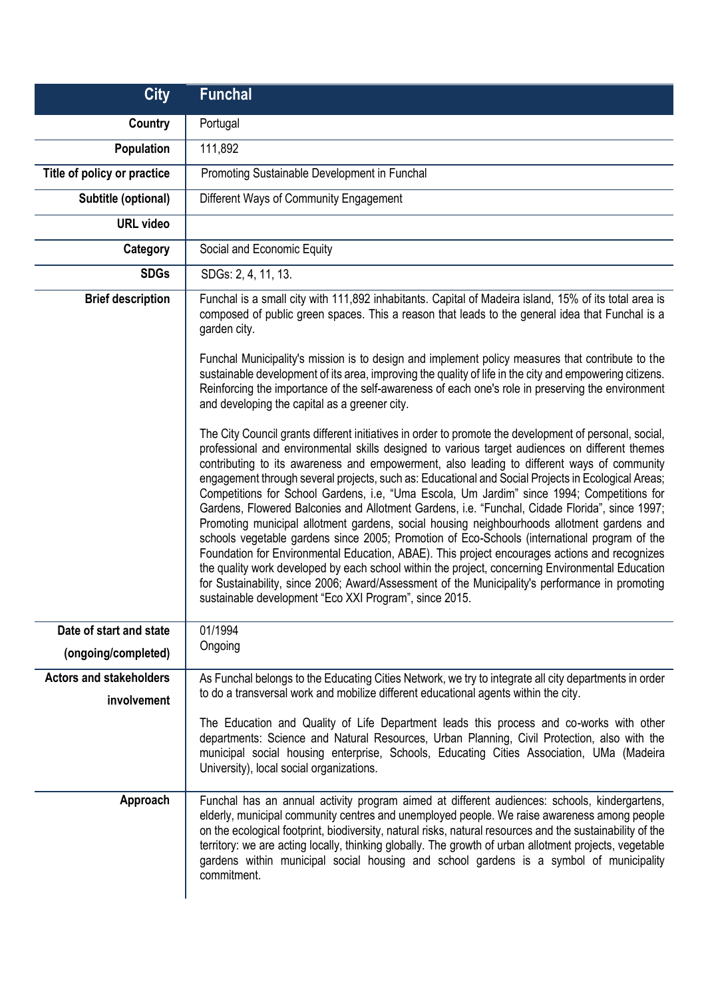| <b>City</b>                                    | <b>Funchal</b>                                                                                                                                                                                                                                                                                                                                                                                                                                                                                                                                                                                                                                                                                                                                                                                                                                                                                                                                                                                                                                                                                                                                                               |
|------------------------------------------------|------------------------------------------------------------------------------------------------------------------------------------------------------------------------------------------------------------------------------------------------------------------------------------------------------------------------------------------------------------------------------------------------------------------------------------------------------------------------------------------------------------------------------------------------------------------------------------------------------------------------------------------------------------------------------------------------------------------------------------------------------------------------------------------------------------------------------------------------------------------------------------------------------------------------------------------------------------------------------------------------------------------------------------------------------------------------------------------------------------------------------------------------------------------------------|
| Country                                        | Portugal                                                                                                                                                                                                                                                                                                                                                                                                                                                                                                                                                                                                                                                                                                                                                                                                                                                                                                                                                                                                                                                                                                                                                                     |
| <b>Population</b>                              | 111,892                                                                                                                                                                                                                                                                                                                                                                                                                                                                                                                                                                                                                                                                                                                                                                                                                                                                                                                                                                                                                                                                                                                                                                      |
| Title of policy or practice                    | Promoting Sustainable Development in Funchal                                                                                                                                                                                                                                                                                                                                                                                                                                                                                                                                                                                                                                                                                                                                                                                                                                                                                                                                                                                                                                                                                                                                 |
| Subtitle (optional)                            | Different Ways of Community Engagement                                                                                                                                                                                                                                                                                                                                                                                                                                                                                                                                                                                                                                                                                                                                                                                                                                                                                                                                                                                                                                                                                                                                       |
| <b>URL video</b>                               |                                                                                                                                                                                                                                                                                                                                                                                                                                                                                                                                                                                                                                                                                                                                                                                                                                                                                                                                                                                                                                                                                                                                                                              |
| Category                                       | Social and Economic Equity                                                                                                                                                                                                                                                                                                                                                                                                                                                                                                                                                                                                                                                                                                                                                                                                                                                                                                                                                                                                                                                                                                                                                   |
| <b>SDGs</b>                                    | SDGs: 2, 4, 11, 13.                                                                                                                                                                                                                                                                                                                                                                                                                                                                                                                                                                                                                                                                                                                                                                                                                                                                                                                                                                                                                                                                                                                                                          |
| <b>Brief description</b>                       | Funchal is a small city with 111,892 inhabitants. Capital of Madeira island, 15% of its total area is<br>composed of public green spaces. This a reason that leads to the general idea that Funchal is a<br>garden city.<br>Funchal Municipality's mission is to design and implement policy measures that contribute to the<br>sustainable development of its area, improving the quality of life in the city and empowering citizens.<br>Reinforcing the importance of the self-awareness of each one's role in preserving the environment<br>and developing the capital as a greener city.                                                                                                                                                                                                                                                                                                                                                                                                                                                                                                                                                                                |
|                                                | The City Council grants different initiatives in order to promote the development of personal, social,<br>professional and environmental skills designed to various target audiences on different themes<br>contributing to its awareness and empowerment, also leading to different ways of community<br>engagement through several projects, such as: Educational and Social Projects in Ecological Areas;<br>Competitions for School Gardens, i.e, "Uma Escola, Um Jardim" since 1994; Competitions for<br>Gardens, Flowered Balconies and Allotment Gardens, i.e. "Funchal, Cidade Florida", since 1997;<br>Promoting municipal allotment gardens, social housing neighbourhoods allotment gardens and<br>schools vegetable gardens since 2005; Promotion of Eco-Schools (international program of the<br>Foundation for Environmental Education, ABAE). This project encourages actions and recognizes<br>the quality work developed by each school within the project, concerning Environmental Education<br>for Sustainability, since 2006; Award/Assessment of the Municipality's performance in promoting<br>sustainable development "Eco XXI Program", since 2015. |
| Date of start and state<br>(ongoing/completed) | 01/1994<br>Ongoing                                                                                                                                                                                                                                                                                                                                                                                                                                                                                                                                                                                                                                                                                                                                                                                                                                                                                                                                                                                                                                                                                                                                                           |
| <b>Actors and stakeholders</b><br>involvement  | As Funchal belongs to the Educating Cities Network, we try to integrate all city departments in order<br>to do a transversal work and mobilize different educational agents within the city.<br>The Education and Quality of Life Department leads this process and co-works with other<br>departments: Science and Natural Resources, Urban Planning, Civil Protection, also with the<br>municipal social housing enterprise, Schools, Educating Cities Association, UMa (Madeira<br>University), local social organizations.                                                                                                                                                                                                                                                                                                                                                                                                                                                                                                                                                                                                                                               |
| Approach                                       | Funchal has an annual activity program aimed at different audiences: schools, kindergartens,<br>elderly, municipal community centres and unemployed people. We raise awareness among people<br>on the ecological footprint, biodiversity, natural risks, natural resources and the sustainability of the<br>territory: we are acting locally, thinking globally. The growth of urban allotment projects, vegetable<br>gardens within municipal social housing and school gardens is a symbol of municipality<br>commitment.                                                                                                                                                                                                                                                                                                                                                                                                                                                                                                                                                                                                                                                  |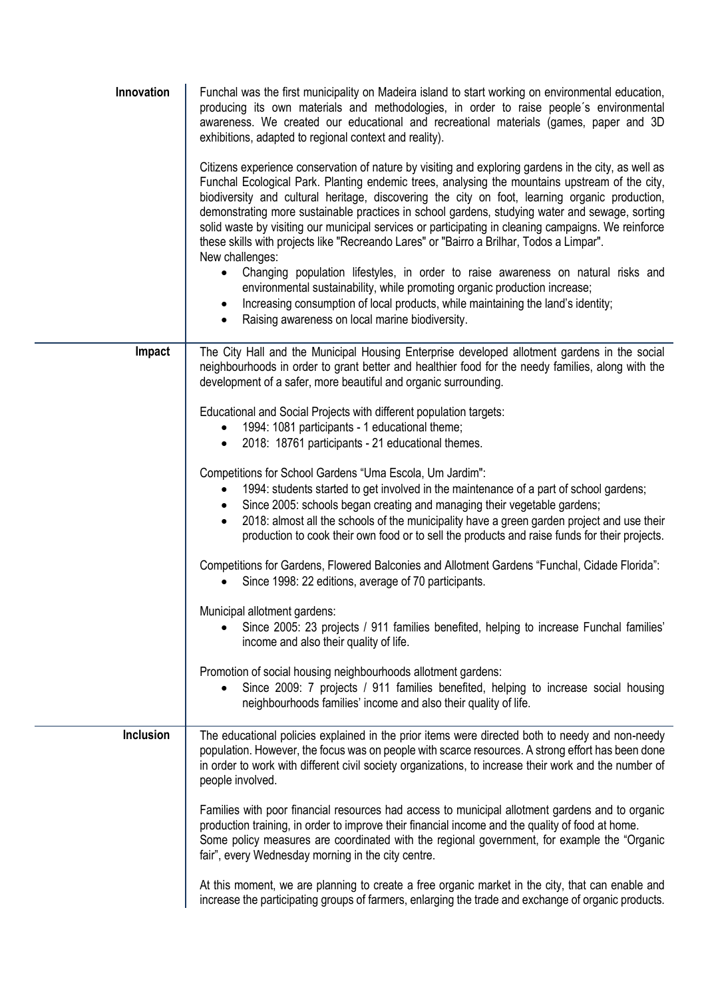| Innovation       | Funchal was the first municipality on Madeira island to start working on environmental education,<br>producing its own materials and methodologies, in order to raise people's environmental<br>awareness. We created our educational and recreational materials (games, paper and 3D<br>exhibitions, adapted to regional context and reality).                                                                                                                                                                                                                                                                                                                                                                                                                                                                                                                                                                                                                     |
|------------------|---------------------------------------------------------------------------------------------------------------------------------------------------------------------------------------------------------------------------------------------------------------------------------------------------------------------------------------------------------------------------------------------------------------------------------------------------------------------------------------------------------------------------------------------------------------------------------------------------------------------------------------------------------------------------------------------------------------------------------------------------------------------------------------------------------------------------------------------------------------------------------------------------------------------------------------------------------------------|
|                  | Citizens experience conservation of nature by visiting and exploring gardens in the city, as well as<br>Funchal Ecological Park. Planting endemic trees, analysing the mountains upstream of the city,<br>biodiversity and cultural heritage, discovering the city on foot, learning organic production,<br>demonstrating more sustainable practices in school gardens, studying water and sewage, sorting<br>solid waste by visiting our municipal services or participating in cleaning campaigns. We reinforce<br>these skills with projects like "Recreando Lares" or "Bairro a Brilhar, Todos a Limpar".<br>New challenges:<br>Changing population lifestyles, in order to raise awareness on natural risks and<br>$\bullet$<br>environmental sustainability, while promoting organic production increase;<br>Increasing consumption of local products, while maintaining the land's identity;<br>$\bullet$<br>Raising awareness on local marine biodiversity. |
| Impact           | The City Hall and the Municipal Housing Enterprise developed allotment gardens in the social<br>neighbourhoods in order to grant better and healthier food for the needy families, along with the                                                                                                                                                                                                                                                                                                                                                                                                                                                                                                                                                                                                                                                                                                                                                                   |
|                  | development of a safer, more beautiful and organic surrounding.                                                                                                                                                                                                                                                                                                                                                                                                                                                                                                                                                                                                                                                                                                                                                                                                                                                                                                     |
|                  | Educational and Social Projects with different population targets:                                                                                                                                                                                                                                                                                                                                                                                                                                                                                                                                                                                                                                                                                                                                                                                                                                                                                                  |
|                  | 1994: 1081 participants - 1 educational theme;<br>2018: 18761 participants - 21 educational themes.<br>$\bullet$                                                                                                                                                                                                                                                                                                                                                                                                                                                                                                                                                                                                                                                                                                                                                                                                                                                    |
|                  | Competitions for School Gardens "Uma Escola, Um Jardim":<br>1994: students started to get involved in the maintenance of a part of school gardens;<br>$\bullet$<br>Since 2005: schools began creating and managing their vegetable gardens;<br>2018: almost all the schools of the municipality have a green garden project and use their<br>$\bullet$<br>production to cook their own food or to sell the products and raise funds for their projects.                                                                                                                                                                                                                                                                                                                                                                                                                                                                                                             |
|                  | Competitions for Gardens, Flowered Balconies and Allotment Gardens "Funchal, Cidade Florida":<br>Since 1998: 22 editions, average of 70 participants.                                                                                                                                                                                                                                                                                                                                                                                                                                                                                                                                                                                                                                                                                                                                                                                                               |
|                  | Municipal allotment gardens:<br>Since 2005: 23 projects / 911 families benefited, helping to increase Funchal families'<br>income and also their quality of life.                                                                                                                                                                                                                                                                                                                                                                                                                                                                                                                                                                                                                                                                                                                                                                                                   |
|                  | Promotion of social housing neighbourhoods allotment gardens:<br>Since 2009: 7 projects / 911 families benefited, helping to increase social housing<br>neighbourhoods families' income and also their quality of life.                                                                                                                                                                                                                                                                                                                                                                                                                                                                                                                                                                                                                                                                                                                                             |
| <b>Inclusion</b> | The educational policies explained in the prior items were directed both to needy and non-needy<br>population. However, the focus was on people with scarce resources. A strong effort has been done<br>in order to work with different civil society organizations, to increase their work and the number of<br>people involved.                                                                                                                                                                                                                                                                                                                                                                                                                                                                                                                                                                                                                                   |
|                  | Families with poor financial resources had access to municipal allotment gardens and to organic<br>production training, in order to improve their financial income and the quality of food at home.<br>Some policy measures are coordinated with the regional government, for example the "Organic<br>fair", every Wednesday morning in the city centre.                                                                                                                                                                                                                                                                                                                                                                                                                                                                                                                                                                                                            |
|                  | At this moment, we are planning to create a free organic market in the city, that can enable and<br>increase the participating groups of farmers, enlarging the trade and exchange of organic products.                                                                                                                                                                                                                                                                                                                                                                                                                                                                                                                                                                                                                                                                                                                                                             |